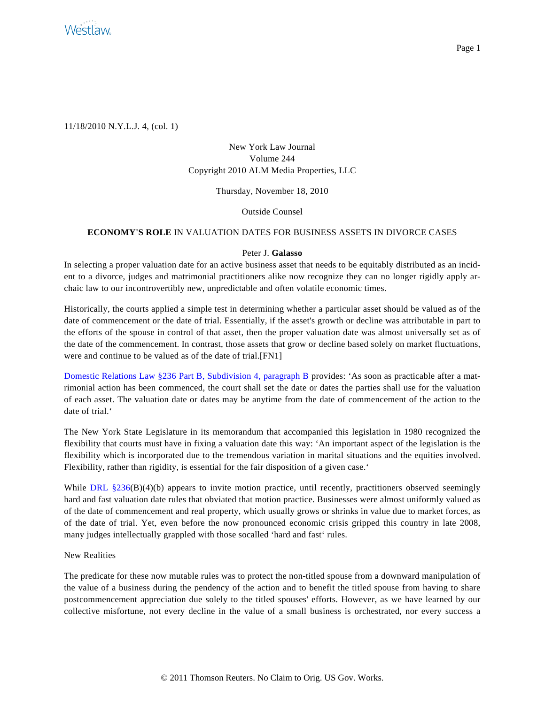

11/18/2010 N.Y.L.J. 4, (col. 1)

New York Law Journal Volume 244 Copyright 2010 ALM Media Properties, LLC

Thursday, November 18, 2010

Outside Counsel

## **ECONOMY'S ROLE** IN VALUATION DATES FOR BUSINESS ASSETS IN DIVORCE CASES

## Peter J. **Galasso**

In selecting a proper valuation date for an active business asset that needs to be equitably distributed as an incident to a divorce, judges and matrimonial practitioners alike now recognize they can no longer rigidly apply archaic law to our incontrovertibly new, unpredictable and often volatile economic times.

Historically, the courts applied a simple test in determining whether a particular asset should be valued as of the date of commencement or the date of trial. Essentially, if the asset's growth or decline was attributable in part to the efforts of the spouse in control of that asset, then the proper valuation date was almost universally set as of the date of the commencement. In contrast, those assets that grow or decline based solely on market fluctuations, were and continue to be valued as of the date of trial.[FN1]

[Domestic Relations Law §236 Part B, Subdivision 4, paragraph B](http://www.westlaw.com/Find/Default.wl?rs=dfa1.0&vr=2.0&DB=1000068&DocName=NYDRS236&FindType=L) provides: 'As soon as practicable after a matrimonial action has been commenced, the court shall set the date or dates the parties shall use for the valuation of each asset. The valuation date or dates may be anytime from the date of commencement of the action to the date of trial.'

The New York State Legislature in its memorandum that accompanied this legislation in 1980 recognized the flexibility that courts must have in fixing a valuation date this way: 'An important aspect of the legislation is the flexibility which is incorporated due to the tremendous variation in marital situations and the equities involved. Flexibility, rather than rigidity, is essential for the fair disposition of a given case.'

While DRL  $\S 236(B)(4)(b)$  appears to invite motion practice, until recently, practitioners observed seemingly hard and fast valuation date rules that obviated that motion practice. Businesses were almost uniformly valued as of the date of commencement and real property, which usually grows or shrinks in value due to market forces, as of the date of trial. Yet, even before the now pronounced economic crisis gripped this country in late 2008, many judges intellectually grappled with those socalled 'hard and fast' rules.

## New Realities

The predicate for these now mutable rules was to protect the non-titled spouse from a downward manipulation of the value of a business during the pendency of the action and to benefit the titled spouse from having to share postcommencement appreciation due solely to the titled spouses' efforts. However, as we have learned by our collective misfortune, not every decline in the value of a small business is orchestrated, nor every success a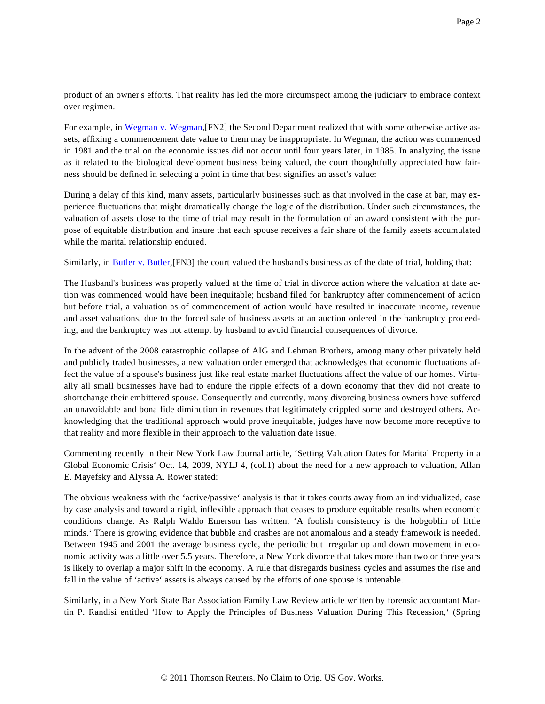product of an owner's efforts. That reality has led the more circumspect among the judiciary to embrace context over regimen.

For example, in [Wegman v. Wegman](http://www.westlaw.com/Find/Default.wl?rs=dfa1.0&vr=2.0&FindType=Y&SerialNum=1986159686), [FN2] the Second Department realized that with some otherwise active assets, affixing a commencement date value to them may be inappropriate. In Wegman, the action was commenced in 1981 and the trial on the economic issues did not occur until four years later, in 1985. In analyzing the issue as it related to the biological development business being valued, the court thoughtfully appreciated how fairness should be defined in selecting a point in time that best signifies an asset's value:

During a delay of this kind, many assets, particularly businesses such as that involved in the case at bar, may experience fluctuations that might dramatically change the logic of the distribution. Under such circumstances, the valuation of assets close to the time of trial may result in the formulation of an award consistent with the purpose of equitable distribution and insure that each spouse receives a fair share of the family assets accumulated while the marital relationship endured.

Similarly, in [Butler v. Butler](http://www.westlaw.com/Find/Default.wl?rs=dfa1.0&vr=2.0&FindType=Y&SerialNum=1999031284),[FN3] the court valued the husband's business as of the date of trial, holding that:

The Husband's business was properly valued at the time of trial in divorce action where the valuation at date action was commenced would have been inequitable; husband filed for bankruptcy after commencement of action but before trial, a valuation as of commencement of action would have resulted in inaccurate income, revenue and asset valuations, due to the forced sale of business assets at an auction ordered in the bankruptcy proceeding, and the bankruptcy was not attempt by husband to avoid financial consequences of divorce.

In the advent of the 2008 catastrophic collapse of AIG and Lehman Brothers, among many other privately held and publicly traded businesses, a new valuation order emerged that acknowledges that economic fluctuations affect the value of a spouse's business just like real estate market fluctuations affect the value of our homes. Virtually all small businesses have had to endure the ripple effects of a down economy that they did not create to shortchange their embittered spouse. Consequently and currently, many divorcing business owners have suffered an unavoidable and bona fide diminution in revenues that legitimately crippled some and destroyed others. Acknowledging that the traditional approach would prove inequitable, judges have now become more receptive to that reality and more flexible in their approach to the valuation date issue.

Commenting recently in their New York Law Journal article, 'Setting Valuation Dates for Marital Property in a Global Economic Crisis' Oct. 14, 2009, NYLJ 4, (col.1) about the need for a new approach to valuation, Allan E. Mayefsky and Alyssa A. Rower stated:

The obvious weakness with the 'active/passive' analysis is that it takes courts away from an individualized, case by case analysis and toward a rigid, inflexible approach that ceases to produce equitable results when economic conditions change. As Ralph Waldo Emerson has written, 'A foolish consistency is the hobgoblin of little minds.' There is growing evidence that bubble and crashes are not anomalous and a steady framework is needed. Between 1945 and 2001 the average business cycle, the periodic but irregular up and down movement in economic activity was a little over 5.5 years. Therefore, a New York divorce that takes more than two or three years is likely to overlap a major shift in the economy. A rule that disregards business cycles and assumes the rise and fall in the value of 'active' assets is always caused by the efforts of one spouse is untenable.

Similarly, in a New York State Bar Association Family Law Review article written by forensic accountant Martin P. Randisi entitled 'How to Apply the Principles of Business Valuation During This Recession,' (Spring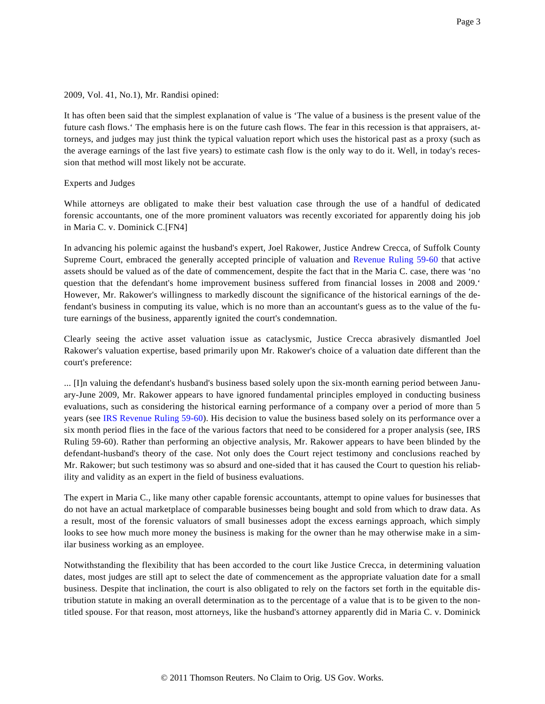2009, Vol. 41, No.1), Mr. Randisi opined:

It has often been said that the simplest explanation of value is 'The value of a business is the present value of the future cash flows.' The emphasis here is on the future cash flows. The fear in this recession is that appraisers, attorneys, and judges may just think the typical valuation report which uses the historical past as a proxy (such as the average earnings of the last five years) to estimate cash flow is the only way to do it. Well, in today's recession that method will most likely not be accurate.

Experts and Judges

While attorneys are obligated to make their best valuation case through the use of a handful of dedicated forensic accountants, one of the more prominent valuators was recently excoriated for apparently doing his job in Maria C. v. Dominick C.[FN4]

In advancing his polemic against the husband's expert, Joel Rakower, Justice Andrew Crecca, of Suffolk County Supreme Court, embraced the generally accepted principle of valuation and [Revenue Ruling 59-60](http://www.westlaw.com/Find/Default.wl?rs=dfa1.0&vr=2.0&DB=0001048&FindType=Y&SerialNum=1959014025) that active assets should be valued as of the date of commencement, despite the fact that in the Maria C. case, there was 'no question that the defendant's home improvement business suffered from financial losses in 2008 and 2009.' However, Mr. Rakower's willingness to markedly discount the significance of the historical earnings of the defendant's business in computing its value, which is no more than an accountant's guess as to the value of the future earnings of the business, apparently ignited the court's condemnation.

Clearly seeing the active asset valuation issue as cataclysmic, Justice Crecca abrasively dismantled Joel Rakower's valuation expertise, based primarily upon Mr. Rakower's choice of a valuation date different than the court's preference:

... [I]n valuing the defendant's husband's business based solely upon the six-month earning period between January-June 2009, Mr. Rakower appears to have ignored fundamental principles employed in conducting business evaluations, such as considering the historical earning performance of a company over a period of more than 5 years (see [IRS Revenue Ruling 59-60](http://www.westlaw.com/Find/Default.wl?rs=dfa1.0&vr=2.0&DB=0001048&FindType=Y&SerialNum=1959014025)). His decision to value the business based solely on its performance over a six month period flies in the face of the various factors that need to be considered for a proper analysis (see, IRS Ruling 59-60). Rather than performing an objective analysis, Mr. Rakower appears to have been blinded by the defendant-husband's theory of the case. Not only does the Court reject testimony and conclusions reached by Mr. Rakower; but such testimony was so absurd and one-sided that it has caused the Court to question his reliability and validity as an expert in the field of business evaluations.

The expert in Maria C., like many other capable forensic accountants, attempt to opine values for businesses that do not have an actual marketplace of comparable businesses being bought and sold from which to draw data. As a result, most of the forensic valuators of small businesses adopt the excess earnings approach, which simply looks to see how much more money the business is making for the owner than he may otherwise make in a similar business working as an employee.

Notwithstanding the flexibility that has been accorded to the court like Justice Crecca, in determining valuation dates, most judges are still apt to select the date of commencement as the appropriate valuation date for a small business. Despite that inclination, the court is also obligated to rely on the factors set forth in the equitable distribution statute in making an overall determination as to the percentage of a value that is to be given to the nontitled spouse. For that reason, most attorneys, like the husband's attorney apparently did in Maria C. v. Dominick